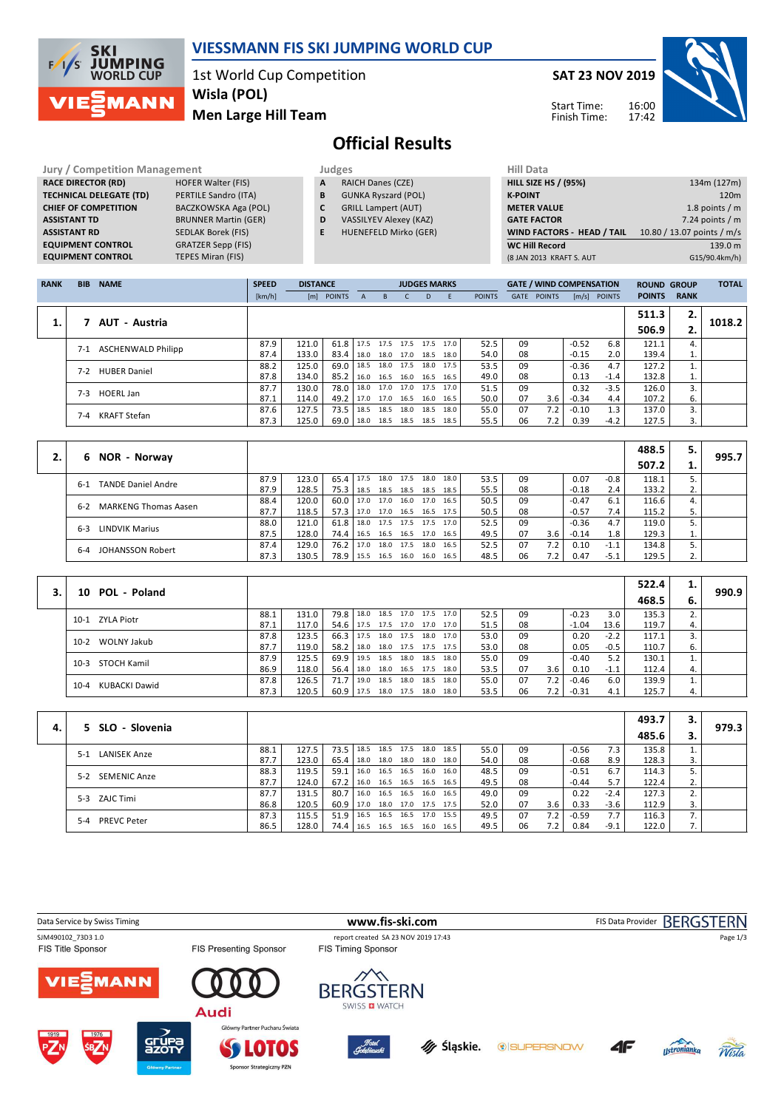

## **VIESSMANN FIS SKI JUMPING WORLD CUP**

1st World Cup Competition **Men Large Hill Team Wisla (POL)**

**SAT 23 NOV 2019**

Start Time: Finish Time:



**Official Results**

| <b>Jury / Competition Management</b> |                             |   | Judges                        | <b>Hill Data</b>   |
|--------------------------------------|-----------------------------|---|-------------------------------|--------------------|
| <b>RACE DIRECTOR (RD)</b>            | <b>HOFER Walter (FIS)</b>   | A | <b>RAICH Danes (CZE)</b>      | <b>HILL SIZE H</b> |
| <b>TECHNICAL DELEGATE (TD)</b>       | PERTILE Sandro (ITA)        | B | <b>GUNKA Ryszard (POL)</b>    | <b>K-POINT</b>     |
| <b>CHIEF OF COMPETITION</b>          | BACZKOWSKA Aga (POL)        | C | <b>GRILL Lampert (AUT)</b>    | <b>METER VA</b>    |
| <b>ASSISTANT TD</b>                  | <b>BRUNNER Martin (GER)</b> | D | <b>VASSILYEV Alexey (KAZ)</b> | <b>GATE FACT</b>   |
| <b>ASSISTANT RD</b>                  | <b>SEDLAK Borek (FIS)</b>   | E | <b>HUENEFELD Mirko (GER)</b>  | <b>WIND FAC</b>    |
| <b>EQUIPMENT CONTROL</b>             | <b>GRATZER Sepp (FIS)</b>   |   |                               | <b>WC Hill Re</b>  |
| <b>EQUIPMENT CONTROL</b>             | <b>TEPES Miran (FIS)</b>    |   |                               | (8 JAN 2013)       |

- 
- **A** RAICH Danes (CZE) **B** GUNKA Ryszard (POL)
- **C** GRILL Lampert (AUT)
- **D** VASSILYEV Alexey (KAZ)
- **E** HUENEFELD Mirko (GER)

| (8 JAN 2013 KRAFT S. AUT    | G15/90.4km/h)              |
|-----------------------------|----------------------------|
| <b>WC Hill Record</b>       | 139.0 m                    |
| WIND FACTORS - HEAD / TAIL  | 10.80 / 13.07 points / m/s |
| <b>GATE FACTOR</b>          | 7.24 points $/m$           |
| <b>METER VALUE</b>          | 1.8 points $/m$            |
| <b>K-POINT</b>              | 120 <sub>m</sub>           |
| <b>HILL SIZE HS / (95%)</b> | 134m (127m)                |
| niil Ddtd                   |                            |

| <b>RANK</b> | <b>BIB</b> | <b>NAME</b>               | <b>SPEED</b> | <b>DISTANCE</b> |                          |              |                     |                | <b>JUDGES MARKS</b> |      |               |      | <b>GATE / WIND COMPENSATION</b> |         |                | <b>ROUND GROUP</b> |             | <b>TOTAL</b> |
|-------------|------------|---------------------------|--------------|-----------------|--------------------------|--------------|---------------------|----------------|---------------------|------|---------------|------|---------------------------------|---------|----------------|--------------------|-------------|--------------|
|             |            |                           | [km/h]       | [m]             | <b>POINTS</b>            | $\mathsf{A}$ | B                   |                | D.                  | F.   | <b>POINTS</b> | GATE | <b>POINTS</b>                   |         | $[m/s]$ POINTS | <b>POINTS</b>      | <b>RANK</b> |              |
|             |            |                           |              |                 |                          |              |                     |                |                     |      |               |      |                                 |         |                | 511.3              | 2.          |              |
|             |            | 7 AUT - Austria           |              |                 |                          |              |                     |                |                     |      |               |      |                                 |         |                | 506.9              | 2.          | 1018.2       |
|             | $7 - 1$    | <b>ASCHENWALD Philipp</b> | 87.9         | 121.0           | 61.8 17.5 17.5 17.5 17.5 |              |                     |                |                     | 17.0 | 52.5          | 09   |                                 | $-0.52$ | 6.8            | 121.1              | 4.          |              |
|             |            |                           | 87.4         | 133.0           | 83.4                     | 18.0         |                     | 18.0 17.0 18.5 |                     | 18.0 | 54.0          | 08   |                                 | $-0.15$ | 2.0            | 139.4              | ı.          |              |
|             | $7-2$      | <b>HUBER Daniel</b>       | 88.2         | 125.0           | 69.0                     | 18.5         | 18.0 17.5           |                | 18.0                | 17.5 | 53.5          | 09   |                                 | $-0.36$ | 4.7            | 127.2              |             |              |
|             |            |                           | 87.8         | 134.0           | 85.2                     |              | 16.0 16.5 16.0 16.5 |                |                     | 16.5 | 49.0          | 08   |                                 | 0.13    | $-1.4$         | 132.8              | ı.          |              |
|             | $7-3$      | HOERL Jan                 | 87.7         | 130.0           | 78.0                     | 18.0         | 17.0 17.0 17.5      |                |                     | 17.0 | 51.5          | 09   |                                 | 0.32    | $-3.5$         | 126.0              |             |              |
|             |            |                           | 87.1         | 114.0           | 49.2                     | 17.0         | 17.0 16.5           |                | 16.0                | 16.5 | 50.0          | 07   | 3.6                             | $-0.34$ | 4.4            | 107.2              | 6.          |              |
|             | $7 - 4$    | <b>KRAFT Stefan</b>       | 87.6         | 127.5           | 73.5                     | 18.5         | 18.5                | 18.0 18.5      |                     | 18.0 | 55.0          | 07   | 7.2                             | $-0.10$ | 1.3            | 137.0              | 3.          |              |
|             |            |                           | 87.3         | 125.0           | 69.0                     |              | 18.0 18.5 18.5 18.5 |                |                     | 18.5 | 55.5          | 06   | 7.2                             | 0.39    | $-4.2$         | 127.5              | 3.          |              |

|    |                                        |      |       |        |      |      |      |                     |      |      |    |     |         |        | 488.5 | 5. |       |
|----|----------------------------------------|------|-------|--------|------|------|------|---------------------|------|------|----|-----|---------|--------|-------|----|-------|
| 2. | 6 NOR - Norway                         |      |       |        |      |      |      |                     |      |      |    |     |         |        | 507.2 | ı. | 995.7 |
|    | <b>TANDE Daniel Andre</b><br>$6-1$     | 87.9 | 123.0 | 65.4   | 17.5 | 18.0 | 17.5 | 18.0                | 18.0 | 53.5 | 09 |     | 0.07    | $-0.8$ | 118.1 |    |       |
|    |                                        | 87.9 | 128.5 | 75.3   | 18.5 |      |      | 18.5 18.5 18.5      | 18.5 | 55.5 | 08 |     | $-0.18$ | 2.4    | 133.2 | 2. |       |
|    | <b>MARKENG Thomas Aasen</b><br>$6 - 2$ | 88.4 | 120.0 | 60.0   | 17.0 | 17.0 |      | 16.0 17.0           | 16.5 | 50.5 | 09 |     | $-0.47$ | 6.1    | 116.6 | 4. |       |
|    |                                        | 87.7 | 118.5 | 57.3 l | 17.0 |      |      | 17.0 16.5 16.5 17.5 |      | 50.5 | 08 |     | $-0.57$ | 7.4    | 115.2 | 5. |       |
|    | LINDVIK Marius<br>$6 - 3$              | 88.0 | 121.0 | 61.8   | 18.0 |      |      | 17.5 17.5 17.5 17.0 |      | 52.5 | 09 |     | $-0.36$ | 4.7    | 119.0 | 5. |       |
|    |                                        | 87.5 | 128.0 | 74.4 I | 16.5 |      |      | 16.5 16.5 17.0      | 16.5 | 49.5 | 07 | 3.6 | $-0.14$ | 1.8    | 129.3 | 1. |       |
|    | <b>JOHANSSON Robert</b>                | 87.4 | 129.0 | 76.2   | 17.0 | 18.0 | 17.5 | 18.0                | 16.5 | 52.5 | 07 | 7.2 | 0.10    | $-1.1$ | 134.8 |    |       |
|    | 6-4                                    | 87.3 | 130.5 | 78.9 I | 15.5 | 16.5 | 16.0 | 16.0                | 16.5 | 48.5 | 06 | 7.2 | 0.47    | $-5.1$ | 129.5 | 2. |       |

|                       |      |       |               |      |      |                |                |      |      |    |     |         |        | 522.4 | 1. |       |
|-----------------------|------|-------|---------------|------|------|----------------|----------------|------|------|----|-----|---------|--------|-------|----|-------|
| POL - Poland<br>10    |      |       |               |      |      |                |                |      |      |    |     |         |        | 468.5 | 6. | 990.9 |
| 10-1 ZYLA Piotr       | 88.1 | 131.0 | 79.8 18.0     |      | 18.5 |                | 17.0 17.5 17.0 |      | 52.5 | 09 |     | $-0.23$ | 3.0    | 135.3 | 2. |       |
|                       | 87.1 | 117.0 | $54.6$        | 17.5 |      | 17.5 17.0 17.0 |                | 17.0 | 51.5 | 08 |     | $-1.04$ | 13.6   | 119.7 | 4. |       |
| 10-2 WOLNY Jakub      | 87.8 | 123.5 | $66.3$ 17.5   |      | 18.0 |                | 17.5 18.0      | 17.0 | 53.0 | 09 |     | 0.20    | $-2.2$ | 117.1 |    |       |
|                       | 87.7 | 119.0 | $58.2$   18.0 |      | 18.0 |                | 17.5 17.5 17.5 |      | 53.0 | 08 |     | 0.05    | $-0.5$ | 110.7 | 6. |       |
| 10-3 STOCH Kamil      | 87.9 | 125.5 | 69.9          | 19.5 | 18.5 | 18.0 18.5      |                | 18.0 | 55.0 | 09 |     | $-0.40$ | 5.2    | 130.1 |    |       |
|                       | 86.9 | 118.0 | $56.4$   18.0 |      | 18.0 |                | 16.5 17.5      | 18.0 | 53.5 | 07 | 3.6 | 0.10    | $-1.1$ | 112.4 | 4. |       |
| KUBACKI Dawid<br>10-4 | 87.8 | 126.5 | 71.7          | 19.0 | 18.5 | 18.0           | 18.5           | 18.0 | 55.0 | 07 | 7.2 | $-0.46$ | 6.0    | 139.9 |    |       |
|                       | 87.3 | 120.5 | $60.9$   17.5 |      |      |                | 18.0 17.5 18.0 | 18.0 | 53.5 | 06 | 7.2 | $-0.31$ | 4.1    | 125.7 | 4. |       |

|    |                               |      |       |        |                          |      |                     |      |      |    |     |         |        | 493.7 | з. |       |
|----|-------------------------------|------|-------|--------|--------------------------|------|---------------------|------|------|----|-----|---------|--------|-------|----|-------|
| 4. | 5 SLO - Slovenia              |      |       |        |                          |      |                     |      |      |    |     |         |        | 485.6 |    | 979.3 |
|    | <b>LANISEK Anze</b><br>$5-1$  | 88.1 | 127.5 | 73.5   | 18.5                     |      | 18.5 17.5 18.0      | 18.5 | 55.0 | 09 |     | $-0.56$ | 7.3    | 135.8 |    |       |
|    |                               | 87.7 | 123.0 | $65.4$ | 18.0                     |      | 18.0 18.0 18.0 18.0 |      | 54.0 | 08 |     | $-0.68$ | 8.9    | 128.3 | 3. |       |
|    | <b>SEMENIC Anze</b><br>$5-2$  | 88.3 | 119.5 | 59.1   | 16.0                     |      | 16.5 16.5 16.0 16.0 |      | 48.5 | 09 |     | $-0.51$ | 6.7    | 114.3 | 5. |       |
|    |                               | 87.7 | 124.0 | 67.2   | 16.0 16.5 16.5 16.5      |      |                     | 16.5 | 49.5 | 08 |     | $-0.44$ | 5.7    | 122.4 | 2. |       |
|    | 5-3 ZAJC Timi                 | 87.7 | 131.5 | 80.7   | 16.0 16.5 16.5 16.0 16.5 |      |                     |      | 49.0 | 09 |     | 0.22    | $-2.4$ | 127.3 |    |       |
|    |                               | 86.8 | 120.5 | 60.9 l | 17.0 18.0 17.0 17.5 17.5 |      |                     |      | 52.0 | 07 | 3.6 | 0.33    | $-3.6$ | 112.9 | 3. |       |
|    | <b>PREVC Peter</b><br>$5 - 4$ | 87.3 | 115.5 | 51.9   | 16.5                     | 16.5 | 16.5 17.0           | 15.5 | 49.5 | 07 | 7.2 | $-0.59$ | 7.7    | 116.3 |    |       |
|    |                               | 86.5 | 128.0 | 74.4 l | 16.5                     |      | 16.5 16.5 16.0 16.5 |      | 49.5 | 06 | 7.2 | 0.84    | $-9.1$ | 122.0 |    |       |

| Data Service by Swiss Timing                   |                                                                 | www.fis-ski.com                                                  |                           | FIS Data Provider BERGSTERN |                    |          |
|------------------------------------------------|-----------------------------------------------------------------|------------------------------------------------------------------|---------------------------|-----------------------------|--------------------|----------|
| SJM490102_73D3 1.0<br><b>FIS Title Sponsor</b> | <b>FIS Presenting Sponsor</b>                                   | report created SA 23 NOV 2019 17:43<br><b>FIS Timing Sponsor</b> |                           |                             |                    | Page 1/3 |
| <b>VIE EMANN</b>                               | Audi                                                            | <b>BERGSTERN</b><br>SWISS <b>D</b> WATCH                         |                           |                             |                    |          |
| 1976<br>1919<br>SB <b>7</b> N                  | Główny Partner Pucharu Świata<br><b>SEUPA</b><br><b>SOLOTOS</b> | <b>Fotel</b><br>Gotebiewski<br><b>If Slaskie.</b>                | <b><i>CISUPERSNOW</i></b> | 4F                          | <b>ustronianke</b> | Wista    |

Sponsor Strategiczny PZN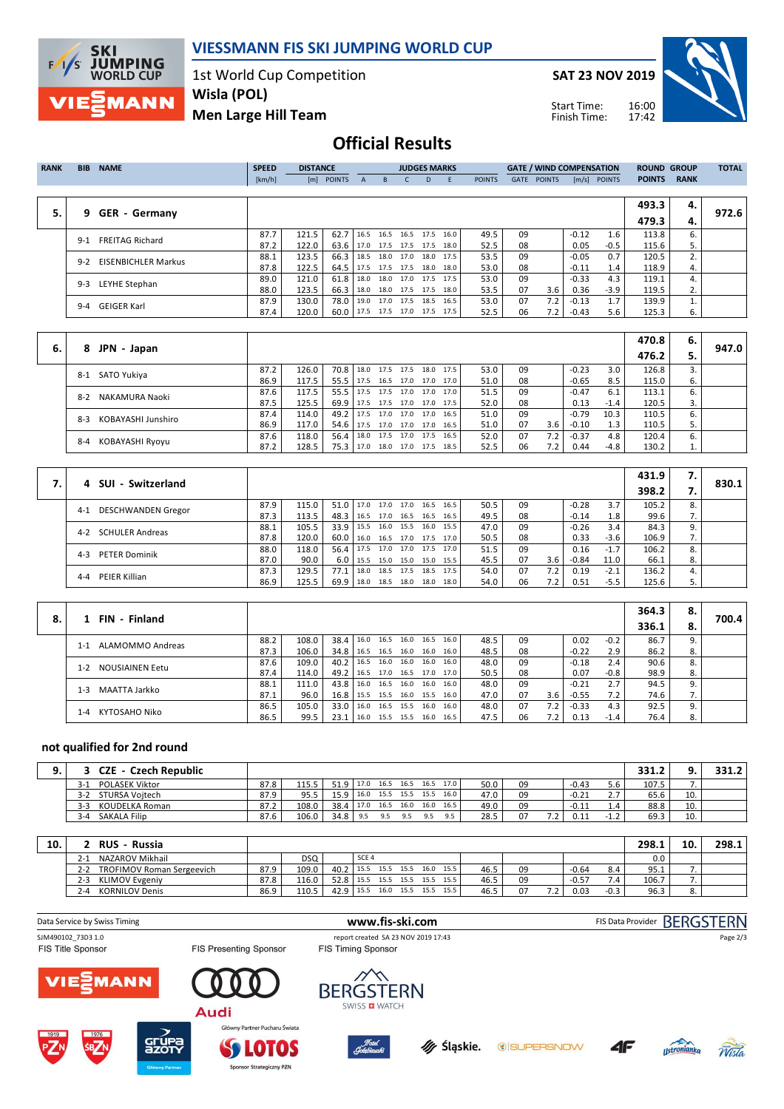

**VIESSMANN FIS SKI JUMPING WORLD CUP**

1st World Cup Competition **Wisla (POL)**

**SAT 23 NOV 2019**

Start Time: Finish Time:



**Men Large Hill Team**

## **Official Results**

| <b>RANK</b> | <b>BIB</b> | <b>NAME</b>                | <b>SPEED</b> | <b>DISTANCE</b> |                                 |              |                          | <b>JUDGES MARKS</b> |           |      |               |             | <b>GATE / WIND COMPENSATION</b> |         |                | <b>ROUND GROUP</b> |             | <b>TOTAL</b> |
|-------------|------------|----------------------------|--------------|-----------------|---------------------------------|--------------|--------------------------|---------------------|-----------|------|---------------|-------------|---------------------------------|---------|----------------|--------------------|-------------|--------------|
|             |            |                            | [km/h]       |                 | [m] POINTS                      | $\mathsf{A}$ | $-B$                     |                     | D.        | - F  | <b>POINTS</b> | <b>GATE</b> | <b>POINTS</b>                   |         | $[m/s]$ POINTS | <b>POINTS</b>      | <b>RANK</b> |              |
|             |            |                            |              |                 |                                 |              |                          |                     |           |      |               |             |                                 |         |                |                    |             |              |
|             |            |                            |              |                 |                                 |              |                          |                     |           |      |               |             |                                 |         |                | 493.3              | 4.          |              |
| 5.          |            | 9 GER - Germany            |              |                 |                                 |              |                          |                     |           |      |               |             |                                 |         |                | 479.3              | 4.          | 972.6        |
|             | $9 - 1$    | <b>FREITAG Richard</b>     | 87.7         | 121.5           | 62.7                            |              | 16.5 16.5 16.5 17.5 16.0 |                     |           |      | 49.5          | 09          |                                 | $-0.12$ | 1.6            | 113.8              | 6.          |              |
|             |            |                            | 87.2         | 122.0           | 63.6                            |              | 17.0 17.5 17.5 17.5 18.0 |                     |           |      | 52.5          | 08          |                                 | 0.05    | $-0.5$         | 115.6              | 5.          |              |
|             | $9-2$      | <b>EISENBICHLER Markus</b> | 88.1         | 123.5           | 66.3                            |              | 18.5 18.0 17.0           |                     | 18.0 17.5 |      | 53.5          | 09          |                                 | $-0.05$ | 0.7            | 120.5              |             |              |
|             |            |                            | 87.8         | 122.5           | 64.5                            |              | 17.5 17.5 17.5 18.0 18.0 |                     |           |      | 53.0          | 08          |                                 | $-0.11$ | 1.4            | 118.9              | 4.          |              |
|             | $9 - 3$    | LEYHE Stephan              | 89.0         | 121.0           | 61.8                            |              | 18.0 18.0 17.0 17.5 17.5 |                     |           |      | 53.0          | 09          |                                 | $-0.33$ | 4.3            | 119.1              | 4.          |              |
|             |            |                            | 88.0         | 123.5           | 66.3                            |              | 18.0 18.0 17.5 17.5 18.0 |                     |           |      | 53.5          | 07          | 3.6                             | 0.36    | $-3.9$         | 119.5              | 2.          |              |
|             |            | 9-4 GEIGER Karl            | 87.9         | 130.0           | 78.0                            |              | 19.0 17.0 17.5           |                     | 18.5      | 16.5 | 53.0          | 07          | 7.2                             | $-0.13$ | 1.7            | 139.9              |             |              |
|             |            |                            | 87.4         | 120.0           | 60.0   17.5 17.5 17.0 17.5 17.5 |              |                          |                     |           |      | 52.5          | 06          | 7.2                             | $-0.43$ | 5.6            | 125.3              | 6.          |              |
|             |            |                            |              |                 |                                 |              |                          |                     |           |      |               |             |                                 |         |                |                    |             |              |

|    |                             |      |       |                                 |                                 |  |                |      |      |    |                  |         |        | 470.8 | 6.   |       |
|----|-----------------------------|------|-------|---------------------------------|---------------------------------|--|----------------|------|------|----|------------------|---------|--------|-------|------|-------|
| 6. | JPN - Japan<br>8            |      |       |                                 |                                 |  |                |      |      |    |                  |         |        | 476.2 | 5.   | 947.0 |
|    | SATO Yukiya<br>$8-1$        | 87.2 | 126.0 | 70.8   18.0 17.5 17.5 18.0 17.5 |                                 |  |                |      | 53.0 | 09 |                  | $-0.23$ | 3.0    | 126.8 |      |       |
|    |                             | 86.9 | 117.5 | 55.5 17.5 16.5 17.0 17.0 17.0   |                                 |  |                |      | 51.0 | 08 |                  | $-0.65$ | 8.5    | 115.0 | 6.   |       |
|    | NAKAMURA Naoki<br>$8 - 2$   | 87.6 | 117.5 | 55.5   17.5 17.5 17.0 17.0 17.0 |                                 |  |                |      | 51.5 | 09 |                  | $-0.47$ | 6.1    | 113.1 | ь.   |       |
|    |                             | 87.5 | 125.5 | 69.9   17.5 17.5 17.0 17.0 17.5 |                                 |  |                |      | 52.0 | 08 |                  | 0.13    | $-1.4$ | 120.5 | 3. I |       |
|    | KOBAYASHI Junshiro<br>$8-3$ | 87.4 | 114.0 | 49.2   17.5 17.0 17.0 17.0 16.5 |                                 |  |                |      | 51.0 | 09 |                  | $-0.79$ | 10.3   | 110.5 | ь.   |       |
|    |                             | 86.9 | 117.0 | 54.6 17.5 17.0 17.0 17.0 16.5   |                                 |  |                |      | 51.0 | 07 | 3.6 <sub>1</sub> | $-0.10$ | 1.3    | 110.5 |      |       |
|    | KOBAYASHI Ryoyu<br>$8 - 4$  | 87.6 | 118.0 | $56.4$   18.0                   |                                 |  | 17.5 17.0 17.5 | 16.5 | 52.0 | 07 | 7.2              | $-0.37$ | 4.8    | 120.4 | 6.   |       |
|    |                             | 87.2 | 128.5 |                                 | 75.3   17.0 18.0 17.0 17.5 18.5 |  |                |      | 52.5 | 06 | 7.2              | 0.44    | $-4.8$ | 130.2 | ⊥.   |       |

|                                   |      |       |               |              |           |                     |                     |      |    |       |         |        | 431.9 | 7. |       |
|-----------------------------------|------|-------|---------------|--------------|-----------|---------------------|---------------------|------|----|-------|---------|--------|-------|----|-------|
| 4 SUI - Switzerland               |      |       |               |              |           |                     |                     |      |    |       |         |        | 398.2 |    | 830.1 |
| DESCHWANDEN Gregor<br>$4 - 1$     | 87.9 | 115.0 | $51.0$   17.0 |              |           | 17.0 17.0 16.5      | 16.5                | 50.5 | 09 |       | $-0.28$ | 3.7    | 105.2 | 8. |       |
|                                   | 87.3 | 113.5 | $48.3$   16.5 |              |           | 17.0 16.5 16.5      | 16.5                | 49.5 | 08 |       | $-0.14$ | 1.8    | 99.6  | 7. |       |
| <b>SCHULER Andreas</b><br>$4 - 2$ | 88.1 | 105.5 | $33.9$ 15.5   |              |           | 16.0 15.5 16.0      | 15.5                | 47.0 | 09 |       | $-0.26$ | 3.4    | 84.3  | 9. |       |
|                                   | 87.8 | 120.0 | $60.0$   16.0 |              |           | 16.5 17.0 17.5 17.0 |                     | 50.5 | 08 |       | 0.33    | $-3.6$ | 106.9 | 7. |       |
| <b>PETER Dominik</b><br>$4 - 3$   | 88.0 | 118.0 | 56.4 17.5     |              |           |                     | 17.0 17.0 17.5 17.0 | 51.5 | 09 |       | 0.16    | $-1.7$ | 106.2 | 8. |       |
|                                   | 87.0 | 90.0  |               | $6.0$   15.5 |           | 15.0 15.0 15.0 15.5 |                     | 45.5 | 07 | 3.6   | $-0.84$ | 11.0   | 66.1  | 8. |       |
| PEIER Killian<br>4-4              | 87.3 | 129.5 | 77.1   18.0   |              |           | 18.5 17.5 18.5 17.5 |                     | 54.0 | 07 | 7.2   | 0.19    | $-2.1$ | 136.2 | 4. |       |
|                                   | 86.9 | 125.5 | $69.9$   18.0 |              | 18.5 18.0 | 18.0                | 18.0                | 54.0 | 06 | 7.2 I | 0.51    | $-5.5$ | 125.6 | 5. |       |

|    | 1 FIN - Finland                   |      |       |        |                     |      |      |                     |      |      |    |     |         |        | 364.3 | 8.         |       |
|----|-----------------------------------|------|-------|--------|---------------------|------|------|---------------------|------|------|----|-----|---------|--------|-------|------------|-------|
| 8. |                                   |      |       |        |                     |      |      |                     |      |      |    |     |         |        | 336.1 | 8.         | 700.4 |
|    | ALAMOMMO Andreas<br>$1 - 1$       | 88.2 | 108.0 | 38.4   | 16.0                | 16.5 |      | 16.0 16.5           | 16.0 | 48.5 | 09 |     | 0.02    | $-0.2$ | 86.7  |            |       |
|    |                                   | 87.3 | 106.0 | 34.8   | 16.5                |      |      | 16.5 16.0 16.0 16.0 |      | 48.5 | 08 |     | $-0.22$ | 2.9    | 86.2  | 8.         |       |
|    | <b>NOUSIAINEN Eetu</b><br>$1 - 2$ | 87.6 | 109.0 | 40.2 l | 16.5                | 16.0 | 16.0 | 16.0                | 16.0 | 48.0 | 09 |     | $-0.18$ | 2.4    | 90.6  |            |       |
|    |                                   | 87.4 | 114.0 | 49.2   | 16.5                |      |      | 17.0 16.5 17.0 17.0 |      | 50.5 | 08 |     | 0.07    | $-0.8$ | 98.9  | 8.         |       |
|    | MAATTA Jarkko<br>$1 - 3$          | 88.1 | 111.0 | 43.8   | 16.0                |      |      | 16.5 16.0 16.0 16.0 |      | 48.0 | 09 |     | $-0.21$ | 2.7    | 94.5  |            |       |
|    |                                   | 87.1 | 96.0  | 16.8 l | 15.5 15.5 16.0 15.5 |      |      |                     | 16.0 | 47.0 | 07 | 3.6 | $-0.55$ | 7.2    | 74.6  | $\prime$ . |       |
|    | KYTOSAHO Niko<br>$1 - 4$          | 86.5 | 105.0 | 33.0   | 16.0                |      |      | 16.5 15.5 16.0 16.0 |      | 48.0 | 07 | 7.2 | $-0.33$ | 4.3    | 92.5  |            |       |
|    |                                   | 86.5 | 99.5  | 23.1   | 16.0                |      |      | 15.5 15.5 16.0 16.5 |      | 47.5 | 06 | 7.2 | 0.13    | $-1.4$ | 76.4  |            |       |

## **not qualified for 2nd round**

| : - Czech Republic<br><b>CZE</b> |      |       |                   |      |      |                |      |                     |      |    |         |         |            | 331.2 |     | 331.2 |
|----------------------------------|------|-------|-------------------|------|------|----------------|------|---------------------|------|----|---------|---------|------------|-------|-----|-------|
| <b>POLASEK Viktor</b><br>$3-1$   | 87.8 | 115.5 | 51.9 17.0         |      |      |                |      | 16.5 16.5 16.5 17.0 | 50.0 | 09 |         | $-0.43$ | 5.6        | 107.5 |     |       |
| STURSA Voitech<br>$3-2$          | 87.9 | 95.5  | 15.9 <sub>1</sub> | 16.0 |      | 15.5 15.5 15.5 |      | 16.0                | 47.0 | 09 |         | $-0.21$ | ۷.         | 65.6  | 10. |       |
| $3-3$<br>KOUDELKA Roman          | 87.2 | 108.0 | 38.4              | 17.0 | 16.5 | 16.0           | 16.0 | 16.5                | 49.0 | 09 |         | $-0.11$ | 1.4        | 88.8  | 10. |       |
| <b>SAKALA Filip</b><br>$3 - 4$   | 87.6 | 106.0 | 34.8              | 9.5  | 9.5  | $Q \nabla$     | 9.5  | 9.5                 | 28.5 | 07 | $\cdot$ |         | - 11<br>∸∙ | 69.3  | 10. |       |

| 10. | <b>RUS - Russia</b>                         |      |       |           |                  |                |                     |      |      |    |     |         |        | 298.1 | 10. | 298.1 |
|-----|---------------------------------------------|------|-------|-----------|------------------|----------------|---------------------|------|------|----|-----|---------|--------|-------|-----|-------|
|     | NAZAROV Mikhail<br>2-1                      |      | DSQ   |           | SCE <sub>4</sub> |                |                     |      |      |    |     |         |        | 0.0   |     |       |
|     | <b>TROFIMOV Roman Sergeevich</b><br>$2 - 2$ | 87.9 | 109.0 | 40.2      | 15.5             | 15.5 15.5 16.0 |                     | 15.5 | 46.5 | 09 |     | $-0.64$ | 8.4    | 95.1  |     |       |
|     | <b>KLIMOV Evgeniv</b><br>$2 - 3$            | 87.8 | 116.0 | 52.8 15.5 |                  |                | 15.5 15.5 15.5 15.5 |      | 46.5 | 09 |     | $-0.57$ |        | 106.7 |     |       |
|     | <b>KORNILOV Denis</b><br>4- (               | 86.9 | 110.5 | 42.9 15.5 |                  | 16.0 15.5      | 15.5                | 15.5 | 46.5 | 07 | 7.2 | 0.03    | $-0.3$ | 96.3  |     |       |

| Data Service by Swiss Timing                   |                               | www.fis-ski.com                                                  | FIS Data Provider BERGSTERN |
|------------------------------------------------|-------------------------------|------------------------------------------------------------------|-----------------------------|
| SJM490102 73D3 1.0<br><b>FIS Title Sponsor</b> | <b>FIS Presenting Sponsor</b> | report created SA 23 NOV 2019 17:43<br><b>FIS Timing Sponsor</b> | Page 2/3                    |
| <b>VIE MANN</b>                                | Audi                          | <b>BERGSTERN</b><br>SWISS <b>EI</b> WATCH                        |                             |